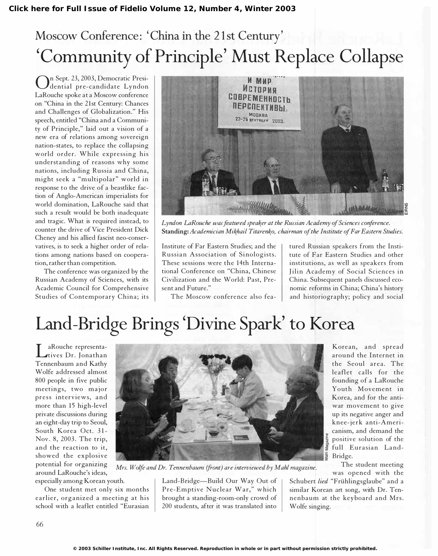## Moscow Conference: 'China in the 21st Century' 'Community of Principle' Must Replace Collapse

On Sept. 23, 2003, Democratic Presi-<br>dential pre-candidate Lyndon dential pre-candidate Lyndon LaRouche spoke at a Moscow conference on "China in the 21st Century: Chances and Challenges of Globalization." His speech, entitled "China and a Community of Principle," laid out a vision of a new era of relations among sovereign nation-states, to replace the collapsing world order. While expressing his understanding of reasons why some nations, including Russia and China, m ight seek a "multipolar" world in response to the drive of a beastlike faction of Anglo-American imperialists for world domination, LaRouche said that such a result would be both inadequate and tragic. What is required instead, to counter the drive of Vice President Dick Cheney and his allied fascist neo-conservatives, is to seek a higher order of relations among nations based on cooperation, rather than competition.

The conference was organized by the Russian Academy of Sciences, with its Academic Council for Comprehensive Studies of Contemporary China; its



Lyndon LaRouche was featured speaker at the Russian Academy of Sciences conference. Standing: Academician Mikhail Titarenko, chairman of the Institute of Far Eastern Studies.

Institute of Far Eastern Studies; and the Russian Association of Sinologists. These sessions were the 14th International Conference on "China, Chinese Civilization and the World: Past, Present and Future."

The Moscow conference also fea-

tured Russian speakers from the Institute of Far Eastern Studies and other institutions, as well as speakers from Jilin Academy of Social Sciences in China. Subsequent panels discussed economic reforms in China; China's history and historiography; policy and social

## Land-Bridge Brings 'Divine Spark' to Korea

ANOUCHE TEPTESCHIA-<br>Tennenbaum and Kathy aRouche representatives Dr. Jonathan Wolfe addressed almost 800 people in five public meetings, two major press interviews, and more than 15 high-level private discussions during an eight-day trip to Seoul, South Korea Oct. 31- Nov. 8, 2003. The trip, and the reaction to it, showed the explosive potential for organizing around LaRouche's ideas,

especially among Korean youth.

One student met only six months earlier, organized a meeting at his school with a leaflet entitled "Eurasian



Mrs. Wolfe and Dr. Tennenbaum (front) are interviewed by Mahl magazine.

Land-Bridge-Build Our Way Out of Pre-Emptive Nuclear War," which brought a standing-room-only crowd of 200 students, after it was translated into

Korean, and spread around the Internet in the Seoul area. The leaflet calls for the founding of a LaRouche Youth Movement in Korea, and for the antiwar movement to give up its negative anger and knee -jerk anti-Americanism, and demand the positive solution of the full Eurasian Land- $\frac{1}{2}$  Bridge.

The student meeting was opened with the

Schubert *lied* "Frühlingsglaube" and a similar Korean art song, with Dr. Tennenbaum at the keyboard and Mrs. Wolfe singing.